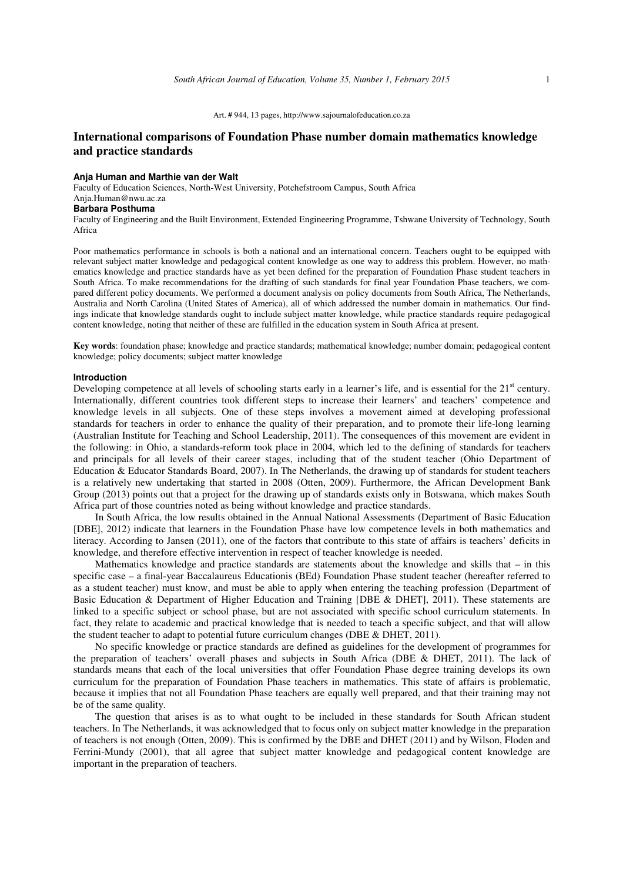#### Art. # 944, 13 pages, http://www.sajournalofeducation.co.za

# **International comparisons of Foundation Phase number domain mathematics knowledge and practice standards**

## **Anja Human and Marthie van der Walt**

Faculty of Education Sciences, North-West University, Potchefstroom Campus, South Africa Anja.Human@nwu.ac.za

## **Barbara Posthuma**

Faculty of Engineering and the Built Environment, Extended Engineering Programme, Tshwane University of Technology, South Africa

Poor mathematics performance in schools is both a national and an international concern. Teachers ought to be equipped with relevant subject matter knowledge and pedagogical content knowledge as one way to address this problem. However, no mathematics knowledge and practice standards have as yet been defined for the preparation of Foundation Phase student teachers in South Africa. To make recommendations for the drafting of such standards for final year Foundation Phase teachers, we compared different policy documents. We performed a document analysis on policy documents from South Africa, The Netherlands, Australia and North Carolina (United States of America), all of which addressed the number domain in mathematics. Our findings indicate that knowledge standards ought to include subject matter knowledge, while practice standards require pedagogical content knowledge, noting that neither of these are fulfilled in the education system in South Africa at present.

**Key words**: foundation phase; knowledge and practice standards; mathematical knowledge; number domain; pedagogical content knowledge; policy documents; subject matter knowledge

#### **Introduction**

Developing competence at all levels of schooling starts early in a learner's life, and is essential for the  $21<sup>st</sup>$  century. Internationally, different countries took different steps to increase their learners' and teachers' competence and knowledge levels in all subjects. One of these steps involves a movement aimed at developing professional standards for teachers in order to enhance the quality of their preparation, and to promote their life-long learning (Australian Institute for Teaching and School Leadership, 2011). The consequences of this movement are evident in the following: in Ohio, a standards-reform took place in 2004, which led to the defining of standards for teachers and principals for all levels of their career stages, including that of the student teacher (Ohio Department of Education & Educator Standards Board, 2007). In The Netherlands, the drawing up of standards for student teachers is a relatively new undertaking that started in 2008 (Otten, 2009). Furthermore, the African Development Bank Group (2013) points out that a project for the drawing up of standards exists only in Botswana, which makes South Africa part of those countries noted as being without knowledge and practice standards.

In South Africa, the low results obtained in the Annual National Assessments (Department of Basic Education [DBE], 2012) indicate that learners in the Foundation Phase have low competence levels in both mathematics and literacy. According to Jansen (2011), one of the factors that contribute to this state of affairs is teachers' deficits in knowledge, and therefore effective intervention in respect of teacher knowledge is needed.

Mathematics knowledge and practice standards are statements about the knowledge and skills that – in this specific case – a final-year Baccalaureus Educationis (BEd) Foundation Phase student teacher (hereafter referred to as a student teacher) must know, and must be able to apply when entering the teaching profession (Department of Basic Education & Department of Higher Education and Training [DBE & DHET], 2011). These statements are linked to a specific subject or school phase, but are not associated with specific school curriculum statements. In fact, they relate to academic and practical knowledge that is needed to teach a specific subject, and that will allow the student teacher to adapt to potential future curriculum changes (DBE & DHET, 2011).

No specific knowledge or practice standards are defined as guidelines for the development of programmes for the preparation of teachers' overall phases and subjects in South Africa (DBE & DHET, 2011). The lack of standards means that each of the local universities that offer Foundation Phase degree training develops its own curriculum for the preparation of Foundation Phase teachers in mathematics. This state of affairs is problematic, because it implies that not all Foundation Phase teachers are equally well prepared, and that their training may not be of the same quality.

The question that arises is as to what ought to be included in these standards for South African student teachers. In The Netherlands, it was acknowledged that to focus only on subject matter knowledge in the preparation of teachers is not enough (Otten, 2009). This is confirmed by the DBE and DHET (2011) and by Wilson, Floden and Ferrini-Mundy (2001), that all agree that subject matter knowledge and pedagogical content knowledge are important in the preparation of teachers.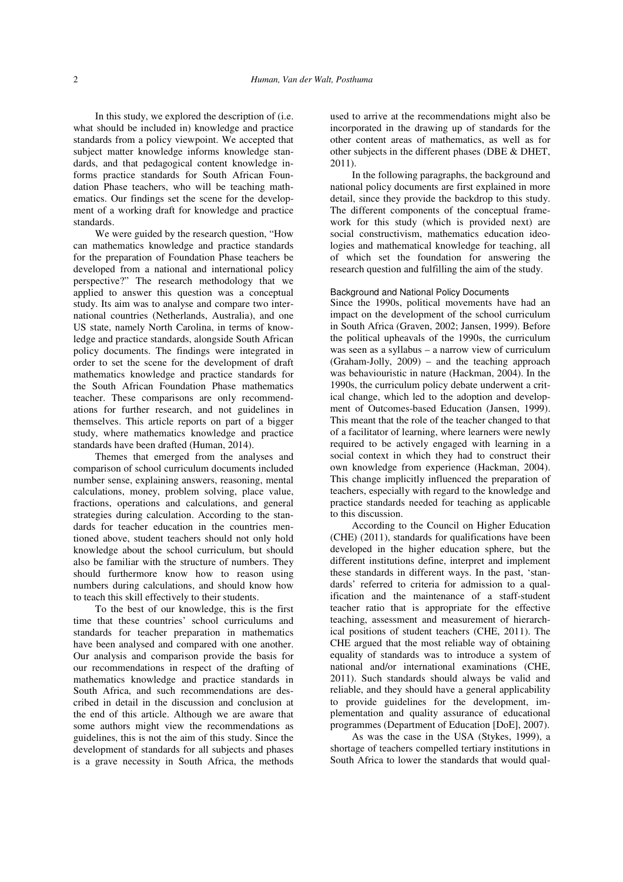In this study, we explored the description of (i.e. what should be included in) knowledge and practice standards from a policy viewpoint. We accepted that subject matter knowledge informs knowledge standards, and that pedagogical content knowledge informs practice standards for South African Foundation Phase teachers, who will be teaching mathematics. Our findings set the scene for the development of a working draft for knowledge and practice standards.

We were guided by the research question, "How can mathematics knowledge and practice standards for the preparation of Foundation Phase teachers be developed from a national and international policy perspective?" The research methodology that we applied to answer this question was a conceptual study. Its aim was to analyse and compare two international countries (Netherlands, Australia), and one US state, namely North Carolina, in terms of knowledge and practice standards, alongside South African policy documents. The findings were integrated in order to set the scene for the development of draft mathematics knowledge and practice standards for the South African Foundation Phase mathematics teacher. These comparisons are only recommendations for further research, and not guidelines in themselves. This article reports on part of a bigger study, where mathematics knowledge and practice standards have been drafted (Human, 2014).

Themes that emerged from the analyses and comparison of school curriculum documents included number sense, explaining answers, reasoning, mental calculations, money, problem solving, place value, fractions, operations and calculations, and general strategies during calculation. According to the standards for teacher education in the countries mentioned above, student teachers should not only hold knowledge about the school curriculum, but should also be familiar with the structure of numbers. They should furthermore know how to reason using numbers during calculations, and should know how to teach this skill effectively to their students.

To the best of our knowledge, this is the first time that these countries' school curriculums and standards for teacher preparation in mathematics have been analysed and compared with one another. Our analysis and comparison provide the basis for our recommendations in respect of the drafting of mathematics knowledge and practice standards in South Africa, and such recommendations are described in detail in the discussion and conclusion at the end of this article. Although we are aware that some authors might view the recommendations as guidelines, this is not the aim of this study. Since the development of standards for all subjects and phases is a grave necessity in South Africa, the methods

used to arrive at the recommendations might also be incorporated in the drawing up of standards for the other content areas of mathematics, as well as for other subjects in the different phases (DBE & DHET, 2011).

In the following paragraphs, the background and national policy documents are first explained in more detail, since they provide the backdrop to this study. The different components of the conceptual framework for this study (which is provided next) are social constructivism, mathematics education ideologies and mathematical knowledge for teaching, all of which set the foundation for answering the research question and fulfilling the aim of the study.

### Background and National Policy Documents

Since the 1990s, political movements have had an impact on the development of the school curriculum in South Africa (Graven, 2002; Jansen, 1999). Before the political upheavals of the 1990s, the curriculum was seen as a syllabus – a narrow view of curriculum (Graham-Jolly, 2009) – and the teaching approach was behaviouristic in nature (Hackman, 2004). In the 1990s, the curriculum policy debate underwent a critical change, which led to the adoption and development of Outcomes-based Education (Jansen, 1999). This meant that the role of the teacher changed to that of a facilitator of learning, where learners were newly required to be actively engaged with learning in a social context in which they had to construct their own knowledge from experience (Hackman, 2004). This change implicitly influenced the preparation of teachers, especially with regard to the knowledge and practice standards needed for teaching as applicable to this discussion.

According to the Council on Higher Education (CHE) (2011), standards for qualifications have been developed in the higher education sphere, but the different institutions define, interpret and implement these standards in different ways. In the past, 'standards' referred to criteria for admission to a qualification and the maintenance of a staff-student teacher ratio that is appropriate for the effective teaching, assessment and measurement of hierarchical positions of student teachers (CHE, 2011). The CHE argued that the most reliable way of obtaining equality of standards was to introduce a system of national and/or international examinations (CHE, 2011). Such standards should always be valid and reliable, and they should have a general applicability to provide guidelines for the development, implementation and quality assurance of educational programmes (Department of Education [DoE], 2007).

As was the case in the USA (Stykes, 1999), a shortage of teachers compelled tertiary institutions in South Africa to lower the standards that would qual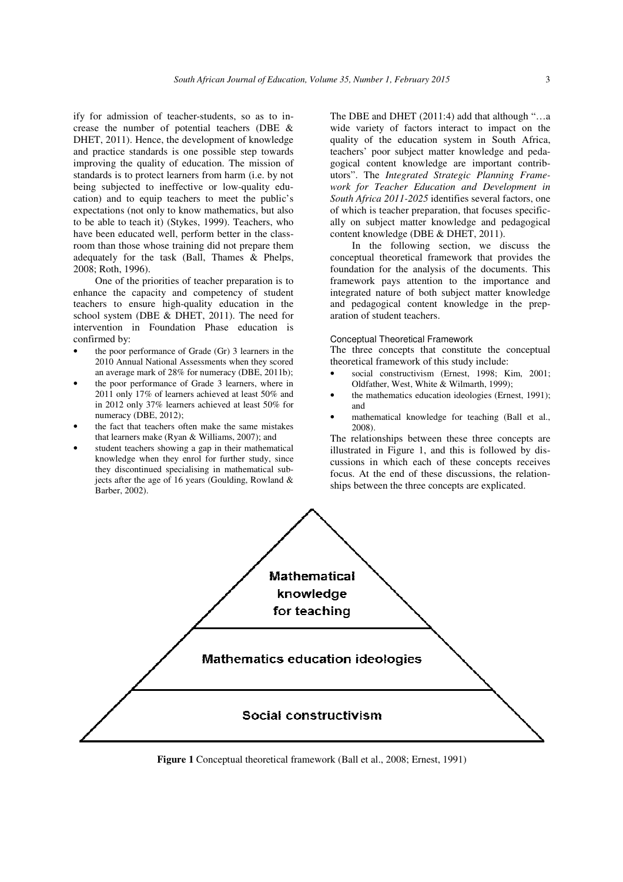ify for admission of teacher-students, so as to increase the number of potential teachers (DBE & DHET, 2011). Hence, the development of knowledge and practice standards is one possible step towards improving the quality of education. The mission of standards is to protect learners from harm (i.e. by not being subjected to ineffective or low-quality education) and to equip teachers to meet the public's expectations (not only to know mathematics, but also to be able to teach it) (Stykes, 1999). Teachers, who have been educated well, perform better in the classroom than those whose training did not prepare them adequately for the task (Ball, Thames & Phelps, 2008; Roth, 1996).

One of the priorities of teacher preparation is to enhance the capacity and competency of student teachers to ensure high-quality education in the school system (DBE & DHET, 2011). The need for intervention in Foundation Phase education is confirmed by:

- the poor performance of Grade (Gr) 3 learners in the 2010 Annual National Assessments when they scored an average mark of 28% for numeracy (DBE, 2011b);
- the poor performance of Grade 3 learners, where in 2011 only 17% of learners achieved at least 50% and in 2012 only 37% learners achieved at least 50% for numeracy (DBE, 2012);
- the fact that teachers often make the same mistakes that learners make (Ryan & Williams, 2007); and
- student teachers showing a gap in their mathematical knowledge when they enrol for further study, since they discontinued specialising in mathematical subjects after the age of 16 years (Goulding, Rowland & Barber, 2002).

The DBE and DHET (2011:4) add that although "…a wide variety of factors interact to impact on the quality of the education system in South Africa, teachers' poor subject matter knowledge and pedagogical content knowledge are important contributors". The *Integrated Strategic Planning Framework for Teacher Education and Development in South Africa 2011-2025* identifies several factors, one of which is teacher preparation, that focuses specifically on subject matter knowledge and pedagogical content knowledge (DBE & DHET, 2011).

In the following section, we discuss the conceptual theoretical framework that provides the foundation for the analysis of the documents. This framework pays attention to the importance and integrated nature of both subject matter knowledge and pedagogical content knowledge in the preparation of student teachers.

## Conceptual Theoretical Framework

The three concepts that constitute the conceptual theoretical framework of this study include:

- social constructivism (Ernest, 1998; Kim, 2001; Oldfather, West, White & Wilmarth, 1999);
- the mathematics education ideologies (Ernest, 1991); and
- mathematical knowledge for teaching (Ball et al., 2008).

The relationships between these three concepts are illustrated in Figure 1, and this is followed by discussions in which each of these concepts receives focus. At the end of these discussions, the relationships between the three concepts are explicated.



**Figure 1** Conceptual theoretical framework (Ball et al., 2008; Ernest, 1991)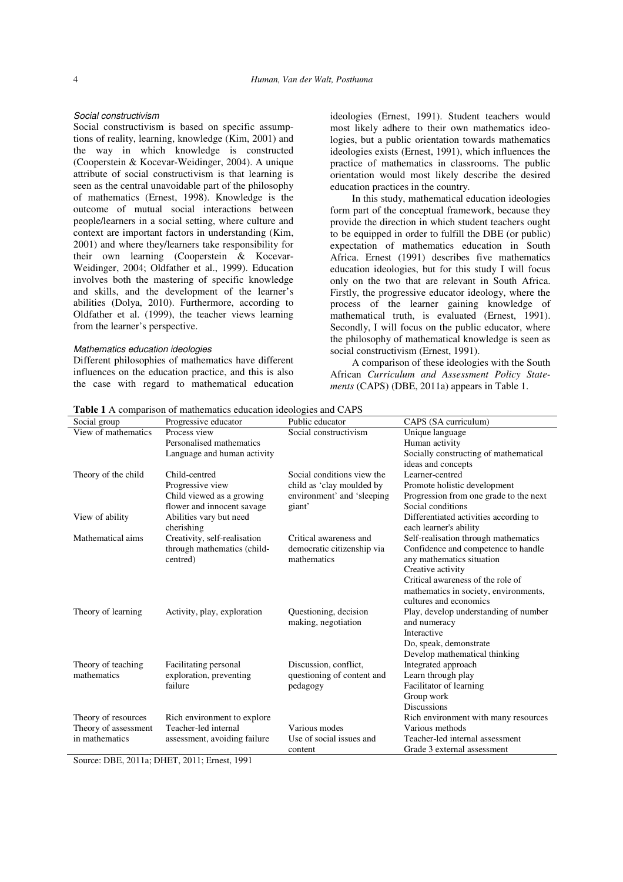#### Social constructivism

Social constructivism is based on specific assumptions of reality, learning, knowledge (Kim, 2001) and the way in which knowledge is constructed (Cooperstein & Kocevar-Weidinger, 2004). A unique attribute of social constructivism is that learning is seen as the central unavoidable part of the philosophy of mathematics (Ernest, 1998). Knowledge is the outcome of mutual social interactions between people/learners in a social setting, where culture and context are important factors in understanding (Kim, 2001) and where they/learners take responsibility for their own learning (Cooperstein & Kocevar-Weidinger, 2004; Oldfather et al., 1999). Education involves both the mastering of specific knowledge and skills, and the development of the learner's abilities (Dolya, 2010). Furthermore, according to Oldfather et al. (1999), the teacher views learning from the learner's perspective.

#### Mathematics education ideologies

Different philosophies of mathematics have different influences on the education practice, and this is also the case with regard to mathematical education

ideologies (Ernest, 1991). Student teachers would most likely adhere to their own mathematics ideologies, but a public orientation towards mathematics ideologies exists (Ernest, 1991), which influences the practice of mathematics in classrooms. The public orientation would most likely describe the desired education practices in the country.

In this study, mathematical education ideologies form part of the conceptual framework, because they provide the direction in which student teachers ought to be equipped in order to fulfill the DBE (or public) expectation of mathematics education in South Africa. Ernest (1991) describes five mathematics education ideologies, but for this study I will focus only on the two that are relevant in South Africa. Firstly, the progressive educator ideology, where the process of the learner gaining knowledge of mathematical truth, is evaluated (Ernest, 1991). Secondly, I will focus on the public educator, where the philosophy of mathematical knowledge is seen as social constructivism (Ernest, 1991).

A comparison of these ideologies with the South African *Curriculum and Assessment Policy Statements* (CAPS) (DBE, 2011a) appears in Table 1.

|  |  |  | Table 1 A comparison of mathematics education ideologies and CAPS |  |  |  |
|--|--|--|-------------------------------------------------------------------|--|--|--|
|  |  |  |                                                                   |  |  |  |

|                      | <b>Table 1</b> A comparison of mathematics equipment ideologies and CAPS |                            |                                        |
|----------------------|--------------------------------------------------------------------------|----------------------------|----------------------------------------|
| Social group         | Progressive educator                                                     | Public educator            | CAPS (SA curriculum)                   |
| View of mathematics  | Process view                                                             | Social constructivism      | Unique language                        |
|                      | Personalised mathematics                                                 |                            | Human activity                         |
|                      | Language and human activity                                              |                            | Socially constructing of mathematical  |
|                      |                                                                          |                            | ideas and concepts                     |
| Theory of the child  | Child-centred                                                            | Social conditions view the | Learner-centred                        |
|                      | Progressive view                                                         | child as 'clay moulded by  | Promote holistic development           |
|                      | Child viewed as a growing                                                | environment' and 'sleeping | Progression from one grade to the next |
|                      | flower and innocent savage                                               | giant'                     | Social conditions                      |
| View of ability      | Abilities vary but need                                                  |                            | Differentiated activities according to |
|                      | cherishing                                                               |                            | each learner's ability                 |
| Mathematical aims    | Creativity, self-realisation                                             | Critical awareness and     | Self-realisation through mathematics   |
|                      | through mathematics (child-                                              | democratic citizenship via | Confidence and competence to handle    |
|                      | centred)                                                                 | mathematics                | any mathematics situation              |
|                      |                                                                          |                            | Creative activity                      |
|                      |                                                                          |                            | Critical awareness of the role of      |
|                      |                                                                          |                            | mathematics in society, environments,  |
|                      |                                                                          |                            | cultures and economics                 |
| Theory of learning   | Activity, play, exploration                                              | Questioning, decision      | Play, develop understanding of number  |
|                      |                                                                          | making, negotiation        | and numeracy                           |
|                      |                                                                          |                            | Interactive                            |
|                      |                                                                          |                            | Do, speak, demonstrate                 |
|                      |                                                                          |                            | Develop mathematical thinking          |
| Theory of teaching   | Facilitating personal                                                    | Discussion, conflict,      | Integrated approach                    |
| mathematics          | exploration, preventing                                                  | questioning of content and | Learn through play                     |
|                      | failure                                                                  | pedagogy                   | Facilitator of learning                |
|                      |                                                                          |                            | Group work                             |
|                      |                                                                          |                            | <b>Discussions</b>                     |
| Theory of resources  | Rich environment to explore                                              |                            | Rich environment with many resources   |
| Theory of assessment | Teacher-led internal                                                     | Various modes              | Various methods                        |
| in mathematics       | assessment, avoiding failure                                             | Use of social issues and   | Teacher-led internal assessment        |
|                      |                                                                          | content                    | Grade 3 external assessment            |

Source: DBE, 2011a; DHET, 2011; Ernest, 1991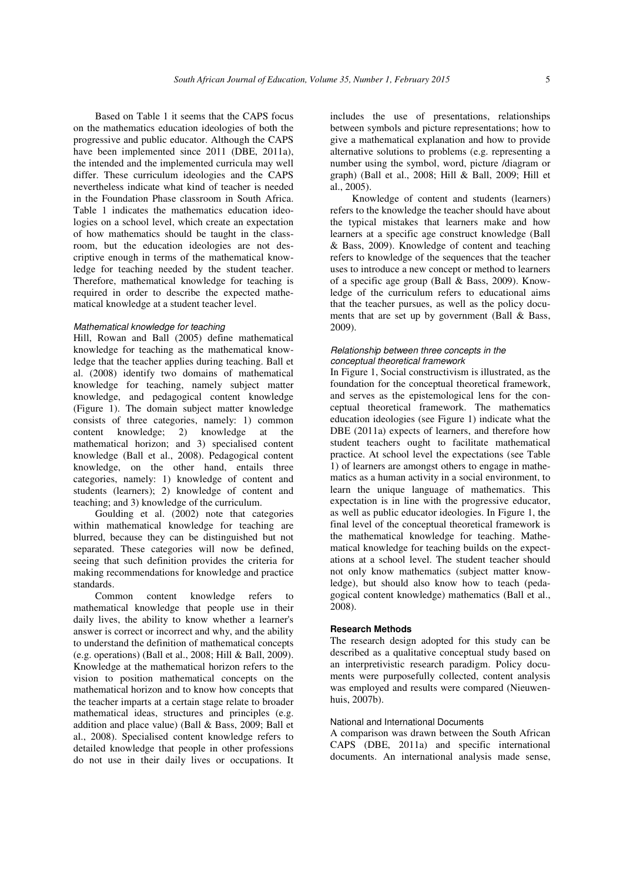Based on Table 1 it seems that the CAPS focus on the mathematics education ideologies of both the progressive and public educator. Although the CAPS have been implemented since 2011 (DBE, 2011a), the intended and the implemented curricula may well differ. These curriculum ideologies and the CAPS nevertheless indicate what kind of teacher is needed in the Foundation Phase classroom in South Africa. Table 1 indicates the mathematics education ideologies on a school level, which create an expectation of how mathematics should be taught in the classroom, but the education ideologies are not descriptive enough in terms of the mathematical knowledge for teaching needed by the student teacher. Therefore, mathematical knowledge for teaching is required in order to describe the expected mathematical knowledge at a student teacher level.

# Mathematical knowledge for teaching

Hill, Rowan and Ball (2005) define mathematical knowledge for teaching as the mathematical knowledge that the teacher applies during teaching. Ball et al. (2008) identify two domains of mathematical knowledge for teaching, namely subject matter knowledge, and pedagogical content knowledge (Figure 1). The domain subject matter knowledge consists of three categories, namely: 1) common content knowledge; 2) knowledge at the mathematical horizon; and 3) specialised content knowledge (Ball et al., 2008). Pedagogical content knowledge, on the other hand, entails three categories, namely: 1) knowledge of content and students (learners); 2) knowledge of content and teaching; and 3) knowledge of the curriculum.

Goulding et al. (2002) note that categories within mathematical knowledge for teaching are blurred, because they can be distinguished but not separated. These categories will now be defined, seeing that such definition provides the criteria for making recommendations for knowledge and practice standards.

Common content knowledge refers to mathematical knowledge that people use in their daily lives, the ability to know whether a learner's answer is correct or incorrect and why, and the ability to understand the definition of mathematical concepts (e.g. operations) (Ball et al., 2008; Hill & Ball, 2009). Knowledge at the mathematical horizon refers to the vision to position mathematical concepts on the mathematical horizon and to know how concepts that the teacher imparts at a certain stage relate to broader mathematical ideas, structures and principles (e.g. addition and place value) (Ball & Bass, 2009; Ball et al., 2008). Specialised content knowledge refers to detailed knowledge that people in other professions do not use in their daily lives or occupations. It

includes the use of presentations, relationships between symbols and picture representations; how to give a mathematical explanation and how to provide alternative solutions to problems (e.g. representing a number using the symbol, word, picture /diagram or graph) (Ball et al., 2008; Hill & Ball, 2009; Hill et al., 2005).

Knowledge of content and students (learners) refers to the knowledge the teacher should have about the typical mistakes that learners make and how learners at a specific age construct knowledge (Ball & Bass, 2009). Knowledge of content and teaching refers to knowledge of the sequences that the teacher uses to introduce a new concept or method to learners of a specific age group (Ball & Bass, 2009). Knowledge of the curriculum refers to educational aims that the teacher pursues, as well as the policy documents that are set up by government (Ball & Bass, 2009).

### Relationship between three concepts in the conceptual theoretical framework

In Figure 1, Social constructivism is illustrated, as the foundation for the conceptual theoretical framework, and serves as the epistemological lens for the conceptual theoretical framework. The mathematics education ideologies (see Figure 1) indicate what the DBE (2011a) expects of learners, and therefore how student teachers ought to facilitate mathematical practice. At school level the expectations (see Table 1) of learners are amongst others to engage in mathematics as a human activity in a social environment, to learn the unique language of mathematics. This expectation is in line with the progressive educator, as well as public educator ideologies. In Figure 1, the final level of the conceptual theoretical framework is the mathematical knowledge for teaching. Mathematical knowledge for teaching builds on the expectations at a school level. The student teacher should not only know mathematics (subject matter knowledge), but should also know how to teach (pedagogical content knowledge) mathematics (Ball et al., 2008).

#### **Research Methods**

The research design adopted for this study can be described as a qualitative conceptual study based on an interpretivistic research paradigm. Policy documents were purposefully collected, content analysis was employed and results were compared (Nieuwenhuis, 2007b).

#### National and International Documents

A comparison was drawn between the South African CAPS (DBE, 2011a) and specific international documents. An international analysis made sense,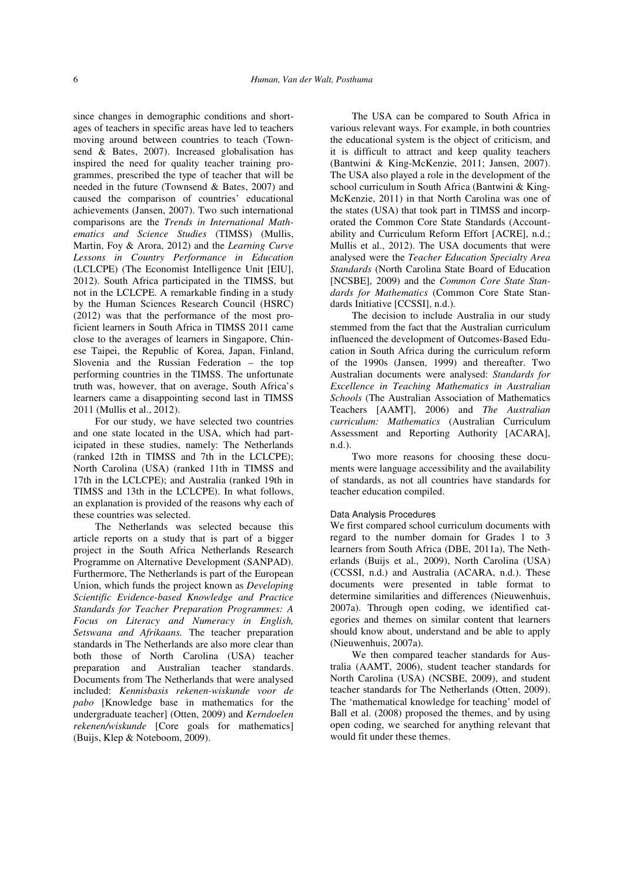since changes in demographic conditions and shortages of teachers in specific areas have led to teachers moving around between countries to teach (Townsend & Bates, 2007). Increased globalisation has inspired the need for quality teacher training programmes, prescribed the type of teacher that will be needed in the future (Townsend & Bates, 2007) and caused the comparison of countries' educational achievements (Jansen, 2007). Two such international comparisons are the *Trends in International Mathematics and Science Studies* (TIMSS) (Mullis, Martin, Foy & Arora, 2012) and the *Learning Curve Lessons in Country Performance in Education*  (LCLCPE) (The Economist Intelligence Unit [EIU], 2012). South Africa participated in the TIMSS, but not in the LCLCPE. A remarkable finding in a study by the Human Sciences Research Council (HSRC) (2012) was that the performance of the most proficient learners in South Africa in TIMSS 2011 came close to the averages of learners in Singapore, Chinese Taipei, the Republic of Korea, Japan, Finland, Slovenia and the Russian Federation – the top performing countries in the TIMSS. The unfortunate truth was, however, that on average, South Africa's learners came a disappointing second last in TIMSS 2011 (Mullis et al., 2012).

For our study, we have selected two countries and one state located in the USA, which had participated in these studies, namely: The Netherlands (ranked 12th in TIMSS and 7th in the LCLCPE); North Carolina (USA) (ranked 11th in TIMSS and 17th in the LCLCPE); and Australia (ranked 19th in TIMSS and 13th in the LCLCPE). In what follows, an explanation is provided of the reasons why each of these countries was selected.

The Netherlands was selected because this article reports on a study that is part of a bigger project in the South Africa Netherlands Research Programme on Alternative Development (SANPAD). Furthermore, The Netherlands is part of the European Union, which funds the project known as *Developing Scientific Evidence-based Knowledge and Practice Standards for Teacher Preparation Programmes: A Focus on Literacy and Numeracy in English, Setswana and Afrikaans.* The teacher preparation standards in The Netherlands are also more clear than both those of North Carolina (USA) teacher preparation and Australian teacher standards. Documents from The Netherlands that were analysed included: *Kennisbasis rekenen-wiskunde voor de pabo* [Knowledge base in mathematics for the undergraduate teacher] (Otten, 2009) and *Kerndoelen rekenen/wiskunde* [Core goals for mathematics] (Buijs, Klep & Noteboom, 2009).

The USA can be compared to South Africa in various relevant ways. For example, in both countries the educational system is the object of criticism, and it is difficult to attract and keep quality teachers (Bantwini & King-McKenzie, 2011; Jansen, 2007). The USA also played a role in the development of the school curriculum in South Africa (Bantwini & King-McKenzie, 2011) in that North Carolina was one of the states (USA) that took part in TIMSS and incorporated the Common Core State Standards (Accountability and Curriculum Reform Effort [ACRE], n.d.; Mullis et al., 2012). The USA documents that were analysed were the *Teacher Education Specialty Area Standards* (North Carolina State Board of Education [NCSBE], 2009) and the *Common Core State Standards for Mathematics* (Common Core State Standards Initiative [CCSSI], n.d.).

The decision to include Australia in our study stemmed from the fact that the Australian curriculum influenced the development of Outcomes-Based Education in South Africa during the curriculum reform of the 1990s (Jansen, 1999) and thereafter. Two Australian documents were analysed: *Standards for Excellence in Teaching Mathematics in Australian Schools* (The Australian Association of Mathematics Teachers [AAMT], 2006) and *The Australian curriculum: Mathematics* (Australian Curriculum Assessment and Reporting Authority [ACARA], n.d.).

Two more reasons for choosing these documents were language accessibility and the availability of standards, as not all countries have standards for teacher education compiled.

#### Data Analysis Procedures

We first compared school curriculum documents with regard to the number domain for Grades 1 to 3 learners from South Africa (DBE, 2011a), The Netherlands (Buijs et al., 2009), North Carolina (USA) (CCSSI, n.d.) and Australia (ACARA, n.d.). These documents were presented in table format to determine similarities and differences (Nieuwenhuis, 2007a). Through open coding, we identified categories and themes on similar content that learners should know about, understand and be able to apply (Nieuwenhuis, 2007a).

We then compared teacher standards for Australia (AAMT, 2006), student teacher standards for North Carolina (USA) (NCSBE, 2009), and student teacher standards for The Netherlands (Otten, 2009). The 'mathematical knowledge for teaching' model of Ball et al. (2008) proposed the themes, and by using open coding, we searched for anything relevant that would fit under these themes.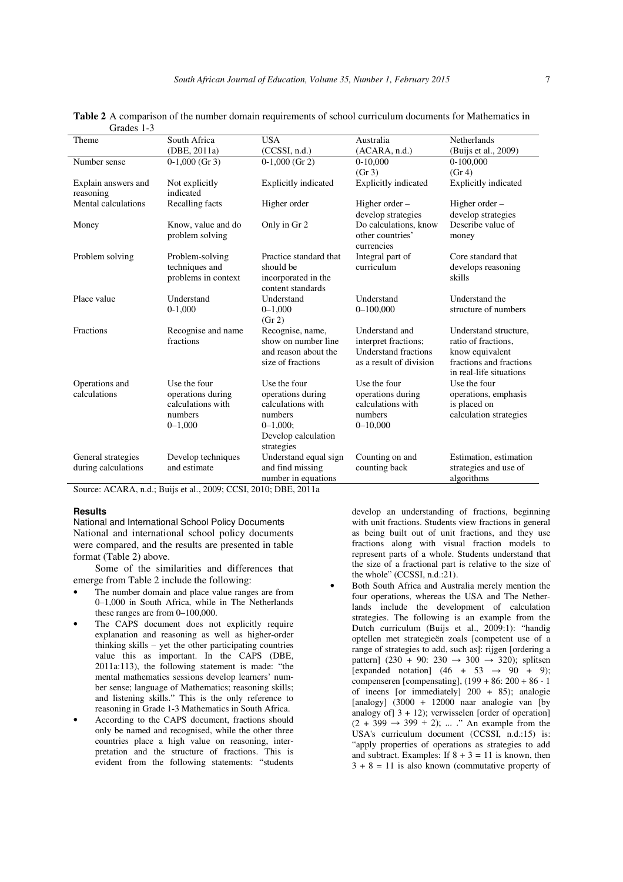| OI auto 1-9         |                     |                             |                                |                             |  |
|---------------------|---------------------|-----------------------------|--------------------------------|-----------------------------|--|
| Theme               | South Africa        | <b>USA</b>                  | Australia                      | Netherlands                 |  |
|                     | (DBE, 2011a)        | (CCSSI, n.d.)               | (ACARA, n.d.)                  | (Buijs et al., 2009)        |  |
| Number sense        | $0-1.000$ (Gr 3)    | $0-1.000$ (Gr 2)            | $0-10,000$                     | $0-100,000$                 |  |
|                     |                     |                             | (Gr 3)                         | (Gr 4)                      |  |
| Explain answers and | Not explicitly      | <b>Explicitly indicated</b> | <b>Explicitly indicated</b>    | <b>Explicitly indicated</b> |  |
| reasoning           | indicated           |                             |                                |                             |  |
| Mental calculations | Recalling facts     | Higher order                | Higher order –                 | Higher order –              |  |
|                     |                     |                             | develop strategies             | develop strategies          |  |
| Money               | Know, value and do  | Only in Gr 2                | Do calculations, know          | Describe value of           |  |
|                     | problem solving     |                             | other countries'<br>currencies | money                       |  |
| Problem solving     | Problem-solving     | Practice standard that      | Integral part of               | Core standard that          |  |
|                     | techniques and      | should be                   | curriculum                     | develops reasoning          |  |
|                     | problems in context | incorporated in the         |                                | skills                      |  |
|                     |                     | content standards           |                                |                             |  |
| Place value         | Understand          | Understand                  | Understand                     | Understand the              |  |
|                     | $0-1,000$           | $0 - 1,000$                 | $0 - 100,000$                  | structure of numbers        |  |
|                     |                     | (Gr 2)                      |                                |                             |  |
| Fractions           | Recognise and name  | Recognise, name,            | Understand and                 | Understand structure,       |  |
|                     | fractions           | show on number line         | interpret fractions;           | ratio of fractions.         |  |
|                     |                     | and reason about the        | <b>Understand fractions</b>    | know equivalent             |  |
|                     |                     | size of fractions           | as a result of division        | fractions and fractions     |  |
|                     |                     |                             |                                | in real-life situations     |  |
| Operations and      | Use the four        | Use the four                | Use the four                   | Use the four                |  |
| calculations        | operations during   | operations during           | operations during              | operations, emphasis        |  |
|                     | calculations with   | calculations with           | calculations with              | is placed on                |  |
|                     | numbers             | numbers                     | numbers                        | calculation strategies      |  |
|                     | $0 - 1,000$         | $0 - 1,000$ ;               | $0 - 10,000$                   |                             |  |
|                     |                     | Develop calculation         |                                |                             |  |
|                     |                     | strategies                  |                                |                             |  |
| General strategies  | Develop techniques  | Understand equal sign       | Counting on and                | Estimation, estimation      |  |
| during calculations | and estimate        | and find missing            | counting back                  | strategies and use of       |  |
|                     |                     | number in equations         |                                | algorithms                  |  |

**Table 2** A comparison of the number domain requirements of school curriculum documents for Mathematics in  $G_{\rm{radio}}$  1-2

Source: ACARA, n.d.; Buijs et al., 2009; CCSI, 2010; DBE, 2011a

#### **Results**

National and International School Policy Documents National and international school policy documents were compared, and the results are presented in table format (Table 2) above.

Some of the similarities and differences that emerge from Table 2 include the following:

- The number domain and place value ranges are from 0–1,000 in South Africa, while in The Netherlands these ranges are from 0–100,000.
- The CAPS document does not explicitly require explanation and reasoning as well as higher-order thinking skills – yet the other participating countries value this as important. In the CAPS (DBE, 2011a:113), the following statement is made: "the mental mathematics sessions develop learners' number sense; language of Mathematics; reasoning skills; and listening skills." This is the only reference to reasoning in Grade 1-3 Mathematics in South Africa.
- According to the CAPS document, fractions should only be named and recognised, while the other three countries place a high value on reasoning, interpretation and the structure of fractions. This is evident from the following statements: "students

develop an understanding of fractions, beginning with unit fractions. Students view fractions in general as being built out of unit fractions, and they use fractions along with visual fraction models to represent parts of a whole. Students understand that the size of a fractional part is relative to the size of the whole" (CCSSI, n.d.:21).

• Both South Africa and Australia merely mention the four operations, whereas the USA and The Netherlands include the development of calculation strategies. The following is an example from the Dutch curriculum (Buijs et al., 2009:1): "handig optellen met strategieën zoals [competent use of a range of strategies to add, such as]: rijgen [ordering a pattern]  $(230 + 90: 230 \rightarrow 300 \rightarrow 320)$ ; splitsen [expanded notation]  $(46 + 53 \rightarrow 90 + 9)$ ; compenseren [compensating], (199 + 86: 200 + 86 - 1 of ineens [or immediately] 200 + 85); analogie [analogy]  $(3000 + 12000$  naar analogie van [by analogy of  $3 + 12$ ; verwisselen [order of operation]  $(2 + 399 \rightarrow 399 + 2)$ ; ... ." An example from the USA's curriculum document (CCSSI, n.d.:15) is: "apply properties of operations as strategies to add and subtract. Examples: If  $8 + 3 = 11$  is known, then  $3 + 8 = 11$  is also known (commutative property of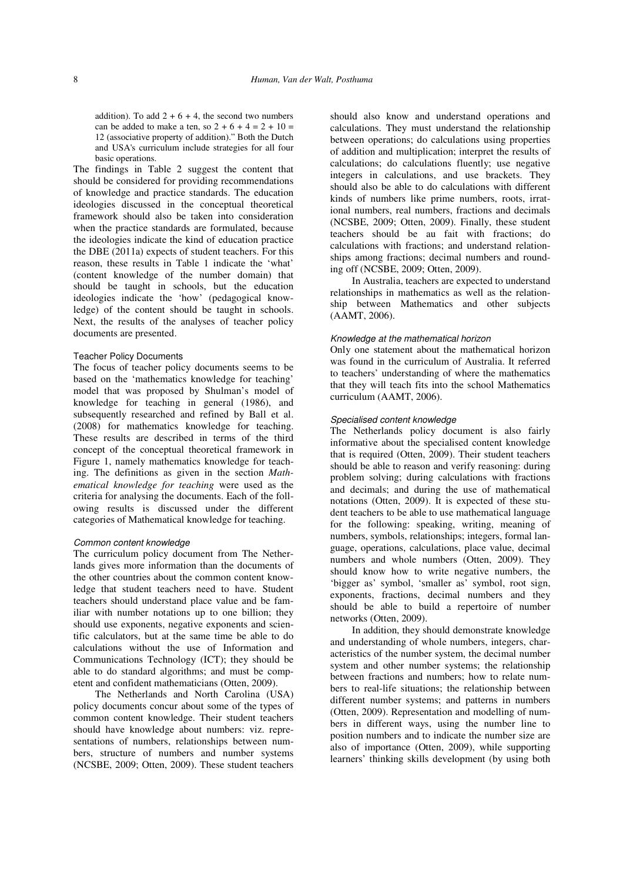addition). To add  $2 + 6 + 4$ , the second two numbers can be added to make a ten, so  $2 + 6 + 4 = 2 + 10 =$ 12 (associative property of addition)." Both the Dutch and USA's curriculum include strategies for all four basic operations.

The findings in Table 2 suggest the content that should be considered for providing recommendations of knowledge and practice standards. The education ideologies discussed in the conceptual theoretical framework should also be taken into consideration when the practice standards are formulated, because the ideologies indicate the kind of education practice the DBE (2011a) expects of student teachers. For this reason, these results in Table 1 indicate the 'what' (content knowledge of the number domain) that should be taught in schools, but the education ideologies indicate the 'how' (pedagogical knowledge) of the content should be taught in schools. Next, the results of the analyses of teacher policy documents are presented.

## Teacher Policy Documents

The focus of teacher policy documents seems to be based on the 'mathematics knowledge for teaching' model that was proposed by Shulman's model of knowledge for teaching in general (1986), and subsequently researched and refined by Ball et al. (2008) for mathematics knowledge for teaching. These results are described in terms of the third concept of the conceptual theoretical framework in Figure 1, namely mathematics knowledge for teaching. The definitions as given in the section *Mathematical knowledge for teaching* were used as the criteria for analysing the documents. Each of the following results is discussed under the different categories of Mathematical knowledge for teaching.

# Common content knowledge

The curriculum policy document from The Netherlands gives more information than the documents of the other countries about the common content knowledge that student teachers need to have. Student teachers should understand place value and be familiar with number notations up to one billion; they should use exponents, negative exponents and scientific calculators, but at the same time be able to do calculations without the use of Information and Communications Technology (ICT); they should be able to do standard algorithms; and must be competent and confident mathematicians (Otten, 2009).

The Netherlands and North Carolina (USA) policy documents concur about some of the types of common content knowledge. Their student teachers should have knowledge about numbers: viz. representations of numbers, relationships between numbers, structure of numbers and number systems (NCSBE, 2009; Otten, 2009). These student teachers

should also know and understand operations and calculations. They must understand the relationship between operations; do calculations using properties of addition and multiplication; interpret the results of calculations; do calculations fluently; use negative integers in calculations, and use brackets. They should also be able to do calculations with different kinds of numbers like prime numbers, roots, irrational numbers, real numbers, fractions and decimals (NCSBE, 2009; Otten, 2009). Finally, these student teachers should be au fait with fractions; do calculations with fractions; and understand relationships among fractions; decimal numbers and rounding off (NCSBE, 2009; Otten, 2009).

In Australia, teachers are expected to understand relationships in mathematics as well as the relationship between Mathematics and other subjects (AAMT, 2006).

## Knowledge at the mathematical horizon

Only one statement about the mathematical horizon was found in the curriculum of Australia. It referred to teachers' understanding of where the mathematics that they will teach fits into the school Mathematics curriculum (AAMT, 2006).

### Specialised content knowledge

The Netherlands policy document is also fairly informative about the specialised content knowledge that is required (Otten, 2009). Their student teachers should be able to reason and verify reasoning: during problem solving; during calculations with fractions and decimals; and during the use of mathematical notations (Otten, 2009). It is expected of these student teachers to be able to use mathematical language for the following: speaking, writing, meaning of numbers, symbols, relationships; integers, formal language, operations, calculations, place value, decimal numbers and whole numbers (Otten, 2009). They should know how to write negative numbers, the 'bigger as' symbol, 'smaller as' symbol, root sign, exponents, fractions, decimal numbers and they should be able to build a repertoire of number networks (Otten, 2009).

In addition, they should demonstrate knowledge and understanding of whole numbers, integers, characteristics of the number system, the decimal number system and other number systems; the relationship between fractions and numbers; how to relate numbers to real-life situations; the relationship between different number systems; and patterns in numbers (Otten, 2009). Representation and modelling of numbers in different ways, using the number line to position numbers and to indicate the number size are also of importance (Otten, 2009), while supporting learners' thinking skills development (by using both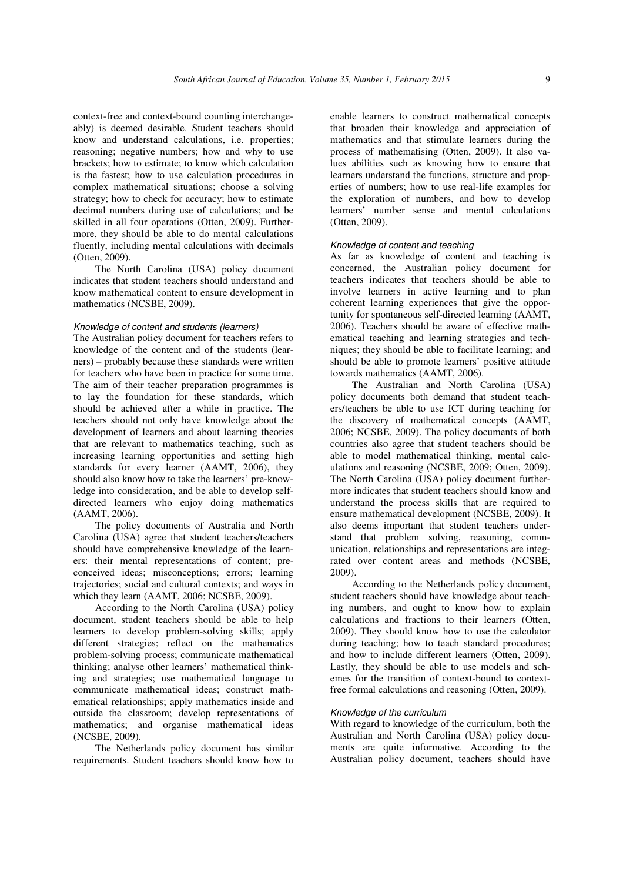context-free and context-bound counting interchangeably) is deemed desirable. Student teachers should know and understand calculations, i.e. properties; reasoning; negative numbers; how and why to use brackets; how to estimate; to know which calculation is the fastest; how to use calculation procedures in complex mathematical situations; choose a solving strategy; how to check for accuracy; how to estimate decimal numbers during use of calculations; and be skilled in all four operations (Otten, 2009). Furthermore, they should be able to do mental calculations fluently, including mental calculations with decimals (Otten, 2009).

The North Carolina (USA) policy document indicates that student teachers should understand and know mathematical content to ensure development in mathematics (NCSBE, 2009).

# Knowledge of content and students (learners)

The Australian policy document for teachers refers to knowledge of the content and of the students (learners) – probably because these standards were written for teachers who have been in practice for some time. The aim of their teacher preparation programmes is to lay the foundation for these standards, which should be achieved after a while in practice. The teachers should not only have knowledge about the development of learners and about learning theories that are relevant to mathematics teaching, such as increasing learning opportunities and setting high standards for every learner (AAMT, 2006), they should also know how to take the learners' pre-knowledge into consideration, and be able to develop selfdirected learners who enjoy doing mathematics (AAMT, 2006).

The policy documents of Australia and North Carolina (USA) agree that student teachers/teachers should have comprehensive knowledge of the learners: their mental representations of content; preconceived ideas; misconceptions; errors; learning trajectories; social and cultural contexts; and ways in which they learn (AAMT, 2006; NCSBE, 2009).

According to the North Carolina (USA) policy document, student teachers should be able to help learners to develop problem-solving skills; apply different strategies; reflect on the mathematics problem-solving process; communicate mathematical thinking; analyse other learners' mathematical thinking and strategies; use mathematical language to communicate mathematical ideas; construct mathematical relationships; apply mathematics inside and outside the classroom; develop representations of mathematics; and organise mathematical ideas (NCSBE, 2009).

The Netherlands policy document has similar requirements. Student teachers should know how to

enable learners to construct mathematical concepts that broaden their knowledge and appreciation of mathematics and that stimulate learners during the process of mathematising (Otten, 2009). It also values abilities such as knowing how to ensure that learners understand the functions, structure and properties of numbers; how to use real-life examples for the exploration of numbers, and how to develop learners' number sense and mental calculations (Otten, 2009).

#### Knowledge of content and teaching

As far as knowledge of content and teaching is concerned, the Australian policy document for teachers indicates that teachers should be able to involve learners in active learning and to plan coherent learning experiences that give the opportunity for spontaneous self-directed learning (AAMT, 2006). Teachers should be aware of effective mathematical teaching and learning strategies and techniques; they should be able to facilitate learning; and should be able to promote learners' positive attitude towards mathematics (AAMT, 2006).

The Australian and North Carolina (USA) policy documents both demand that student teachers/teachers be able to use ICT during teaching for the discovery of mathematical concepts (AAMT, 2006; NCSBE, 2009). The policy documents of both countries also agree that student teachers should be able to model mathematical thinking, mental calculations and reasoning (NCSBE, 2009; Otten, 2009). The North Carolina (USA) policy document furthermore indicates that student teachers should know and understand the process skills that are required to ensure mathematical development (NCSBE, 2009). It also deems important that student teachers understand that problem solving, reasoning, communication, relationships and representations are integrated over content areas and methods (NCSBE, 2009).

According to the Netherlands policy document, student teachers should have knowledge about teaching numbers, and ought to know how to explain calculations and fractions to their learners (Otten, 2009). They should know how to use the calculator during teaching; how to teach standard procedures; and how to include different learners (Otten, 2009). Lastly, they should be able to use models and schemes for the transition of context-bound to contextfree formal calculations and reasoning (Otten, 2009).

# Knowledge of the curriculum

With regard to knowledge of the curriculum, both the Australian and North Carolina (USA) policy documents are quite informative. According to the Australian policy document, teachers should have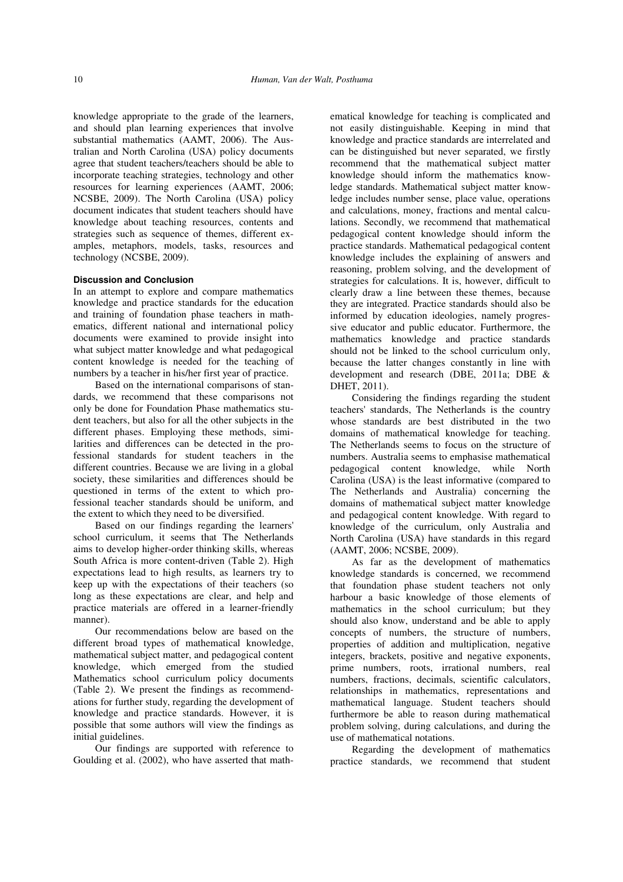knowledge appropriate to the grade of the learners, and should plan learning experiences that involve substantial mathematics (AAMT, 2006). The Australian and North Carolina (USA) policy documents agree that student teachers/teachers should be able to incorporate teaching strategies, technology and other resources for learning experiences (AAMT, 2006; NCSBE, 2009). The North Carolina (USA) policy document indicates that student teachers should have knowledge about teaching resources, contents and strategies such as sequence of themes, different examples, metaphors, models, tasks, resources and technology (NCSBE, 2009).

## **Discussion and Conclusion**

In an attempt to explore and compare mathematics knowledge and practice standards for the education and training of foundation phase teachers in mathematics, different national and international policy documents were examined to provide insight into what subject matter knowledge and what pedagogical content knowledge is needed for the teaching of numbers by a teacher in his/her first year of practice.

Based on the international comparisons of standards, we recommend that these comparisons not only be done for Foundation Phase mathematics student teachers, but also for all the other subjects in the different phases. Employing these methods, similarities and differences can be detected in the professional standards for student teachers in the different countries. Because we are living in a global society, these similarities and differences should be questioned in terms of the extent to which professional teacher standards should be uniform, and the extent to which they need to be diversified.

Based on our findings regarding the learners' school curriculum, it seems that The Netherlands aims to develop higher-order thinking skills, whereas South Africa is more content-driven (Table 2). High expectations lead to high results, as learners try to keep up with the expectations of their teachers (so long as these expectations are clear, and help and practice materials are offered in a learner-friendly manner).

Our recommendations below are based on the different broad types of mathematical knowledge, mathematical subject matter, and pedagogical content knowledge, which emerged from the studied Mathematics school curriculum policy documents (Table 2). We present the findings as recommendations for further study, regarding the development of knowledge and practice standards. However, it is possible that some authors will view the findings as initial guidelines.

Our findings are supported with reference to Goulding et al. (2002), who have asserted that math-

ematical knowledge for teaching is complicated and not easily distinguishable. Keeping in mind that knowledge and practice standards are interrelated and can be distinguished but never separated, we firstly recommend that the mathematical subject matter knowledge should inform the mathematics knowledge standards. Mathematical subject matter knowledge includes number sense, place value, operations and calculations, money, fractions and mental calculations. Secondly, we recommend that mathematical pedagogical content knowledge should inform the practice standards. Mathematical pedagogical content knowledge includes the explaining of answers and reasoning, problem solving, and the development of strategies for calculations. It is, however, difficult to clearly draw a line between these themes, because they are integrated. Practice standards should also be informed by education ideologies, namely progressive educator and public educator. Furthermore, the mathematics knowledge and practice standards should not be linked to the school curriculum only, because the latter changes constantly in line with development and research (DBE, 2011a; DBE & DHET, 2011).

Considering the findings regarding the student teachers' standards, The Netherlands is the country whose standards are best distributed in the two domains of mathematical knowledge for teaching. The Netherlands seems to focus on the structure of numbers. Australia seems to emphasise mathematical pedagogical content knowledge, while North Carolina (USA) is the least informative (compared to The Netherlands and Australia) concerning the domains of mathematical subject matter knowledge and pedagogical content knowledge. With regard to knowledge of the curriculum, only Australia and North Carolina (USA) have standards in this regard (AAMT, 2006; NCSBE, 2009).

As far as the development of mathematics knowledge standards is concerned, we recommend that foundation phase student teachers not only harbour a basic knowledge of those elements of mathematics in the school curriculum; but they should also know, understand and be able to apply concepts of numbers, the structure of numbers, properties of addition and multiplication, negative integers, brackets, positive and negative exponents, prime numbers, roots, irrational numbers, real numbers, fractions, decimals, scientific calculators, relationships in mathematics, representations and mathematical language. Student teachers should furthermore be able to reason during mathematical problem solving, during calculations, and during the use of mathematical notations.

Regarding the development of mathematics practice standards, we recommend that student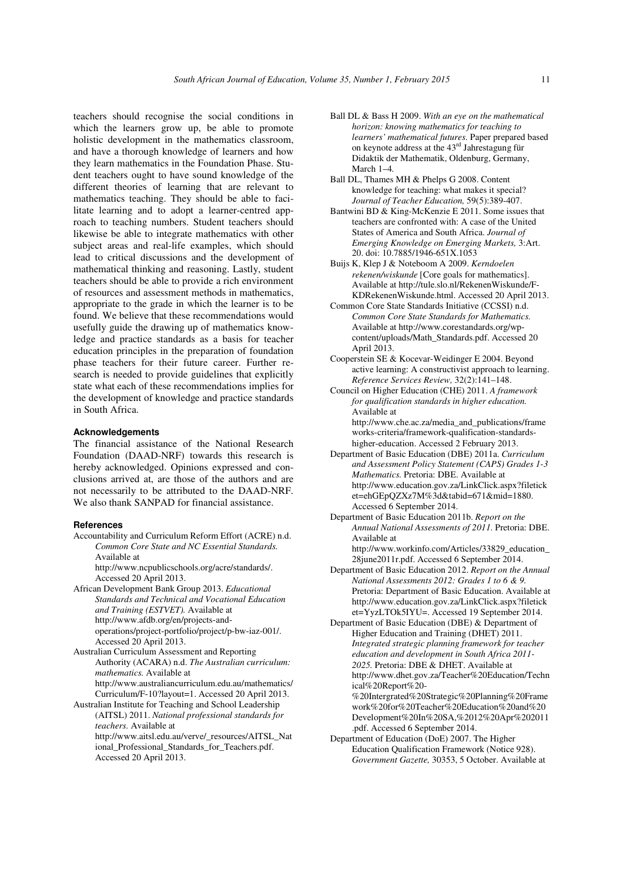teachers should recognise the social conditions in which the learners grow up, be able to promote holistic development in the mathematics classroom, and have a thorough knowledge of learners and how they learn mathematics in the Foundation Phase. Student teachers ought to have sound knowledge of the different theories of learning that are relevant to mathematics teaching. They should be able to facilitate learning and to adopt a learner-centred approach to teaching numbers. Student teachers should likewise be able to integrate mathematics with other subject areas and real-life examples, which should lead to critical discussions and the development of mathematical thinking and reasoning. Lastly, student teachers should be able to provide a rich environment of resources and assessment methods in mathematics, appropriate to the grade in which the learner is to be found. We believe that these recommendations would usefully guide the drawing up of mathematics knowledge and practice standards as a basis for teacher education principles in the preparation of foundation phase teachers for their future career. Further research is needed to provide guidelines that explicitly state what each of these recommendations implies for the development of knowledge and practice standards in South Africa.

### **Acknowledgements**

The financial assistance of the National Research Foundation (DAAD-NRF) towards this research is hereby acknowledged. Opinions expressed and conclusions arrived at, are those of the authors and are not necessarily to be attributed to the DAAD-NRF. We also thank SANPAD for financial assistance.

#### **References**

Accountability and Curriculum Reform Effort (ACRE) n.d. *Common Core State and NC Essential Standards.* Available at

http://www.ncpublicschools.org/acre/standards/. Accessed 20 April 2013.

- African Development Bank Group 2013. *Educational Standards and Technical and Vocational Education and Training (ESTVET).* Available at http://www.afdb.org/en/projects-andoperations/project-portfolio/project/p-bw-iaz-001/. Accessed 20 April 2013.
- Australian Curriculum Assessment and Reporting Authority (ACARA) n.d. *The Australian curriculum: mathematics.* Available at http://www.australiancurriculum.edu.au/mathematics/ Curriculum/F-10?layout=1. Accessed 20 April 2013.
- Australian Institute for Teaching and School Leadership (AITSL) 2011. *National professional standards for teachers.* Available at http://www.aitsl.edu.au/verve/\_resources/AITSL\_Nat ional Professional Standards for Teachers.pdf. Accessed 20 April 2013.
- Ball DL & Bass H 2009. *With an eye on the mathematical horizon: knowing mathematics for teaching to learners' mathematical futures.* Paper prepared based on keynote address at the 43rd Jahrestagung für Didaktik der Mathematik, Oldenburg, Germany, March 1–4*.*
- Ball DL, Thames MH & Phelps G 2008. Content knowledge for teaching: what makes it special? *Journal of Teacher Education,* 59(5):389-407.
- Bantwini BD & King-McKenzie E 2011. Some issues that teachers are confronted with: A case of the United States of America and South Africa. *Journal of Emerging Knowledge on Emerging Markets,* 3:Art. 20. doi: 10.7885/1946-651X.1053
- Buijs K, Klep J & Noteboom A 2009. *Kerndoelen rekenen/wiskunde* [Core goals for mathematics]. Available at http://tule.slo.nl/RekenenWiskunde/F-KDRekenenWiskunde.html. Accessed 20 April 2013.
- Common Core State Standards Initiative (CCSSI) n.d. *Common Core State Standards for Mathematics.* Available at http://www.corestandards.org/wpcontent/uploads/Math\_Standards.pdf. Accessed 20 April 2013.
- Cooperstein SE & Kocevar-Weidinger E 2004. Beyond active learning: A constructivist approach to learning. *Reference Services Review,* 32(2):141–148.
- Council on Higher Education (CHE) 2011. *A framework for qualification standards in higher education.* Available at http://www.che.ac.za/media\_and\_publications/frame works-criteria/framework-qualification-standards-

higher-education. Accessed 2 February 2013. Department of Basic Education (DBE) 2011a. *Curriculum* 

*and Assessment Policy Statement (CAPS) Grades 1-3 Mathematics.* Pretoria: DBE. Available at http://www.education.gov.za/LinkClick.aspx?filetick et=ehGEpQZXz7M%3d&tabid=671&mid=1880. Accessed 6 September 2014.

Department of Basic Education 2011b. *Report on the Annual National Assessments of 2011.* Pretoria: DBE. Available at

http://www.workinfo.com/Articles/33829\_education\_ 28june2011r.pdf. Accessed 6 September 2014.

Department of Basic Education 2012. *Report on the Annual National Assessments 2012: Grades 1 to 6 & 9.*  Pretoria: Department of Basic Education. Available at http://www.education.gov.za/LinkClick.aspx?filetick et=YyzLTOk5IYU=. Accessed 19 September 2014.

Department of Basic Education (DBE) & Department of Higher Education and Training (DHET) 2011. *Integrated strategic planning framework for teacher education and development in South Africa 2011- 2025.* Pretoria: DBE & DHET. Available at http://www.dhet.gov.za/Teacher%20Education/Techn ical%20Report%20- %20Intergrated%20Strategic%20Planning%20Frame work%20for%20Teacher%20Education%20and%20 Development%20In%20SA,%2012%20Apr%202011 .pdf. Accessed 6 September 2014. Department of Education (DoE) 2007. The Higher

Education Qualification Framework (Notice 928). *Government Gazette,* 30353, 5 October. Available at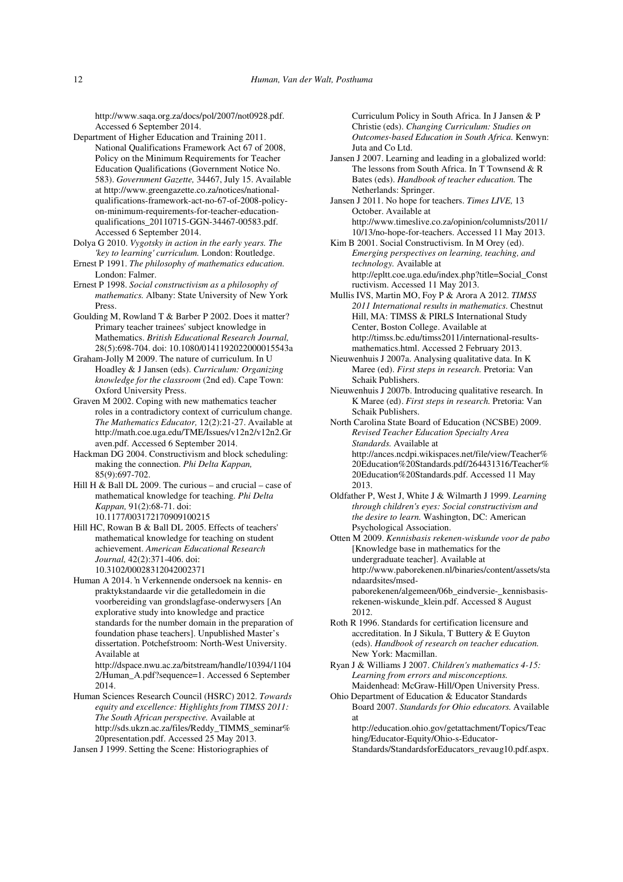http://www.saqa.org.za/docs/pol/2007/not0928.pdf. Accessed 6 September 2014.

Department of Higher Education and Training 2011. National Qualifications Framework Act 67 of 2008, Policy on the Minimum Requirements for Teacher Education Qualifications (Government Notice No. 583). *Government Gazette,* 34467, July 15. Available at http://www.greengazette.co.za/notices/nationalqualifications-framework-act-no-67-of-2008-policyon-minimum-requirements-for-teacher-educationqualifications\_20110715-GGN-34467-00583.pdf. Accessed 6 September 2014.

Dolya G 2010. *Vygotsky in action in the early years. The 'key to learning' curriculum.* London: Routledge.

Ernest P 1991. *The philosophy of mathematics education.*  London: Falmer.

Ernest P 1998. *Social constructivism as a philosophy of mathematics.* Albany: State University of New York Press.

Goulding M, Rowland T & Barber P 2002. Does it matter? Primary teacher trainees' subject knowledge in Mathematics. *British Educational Research Journal,* 28(5):698-704. doi: 10.1080/0141192022000015543a

Graham-Jolly M 2009. The nature of curriculum. In U Hoadley & J Jansen (eds). *Curriculum: Organizing knowledge for the classroom* (2nd ed). Cape Town: Oxford University Press.

Graven M 2002. Coping with new mathematics teacher roles in a contradictory context of curriculum change. *The Mathematics Educator,* 12(2):21-27. Available at http://math.coe.uga.edu/TME/Issues/v12n2/v12n2.Gr aven.pdf. Accessed 6 September 2014.

Hackman DG 2004. Constructivism and block scheduling: making the connection. *Phi Delta Kappan,*  85(9):697-702.

Hill H  $\&$  Ball DL 2009. The curious – and crucial – case of mathematical knowledge for teaching. *Phi Delta Kappan,* 91(2):68-71. doi: 10.1177/003172170909100215

Hill HC, Rowan B & Ball DL 2005. Effects of teachers' mathematical knowledge for teaching on student achievement. *American Educational Research Journal,* 42(2):371-406. doi: 10.3102/00028312042002371

Human A 2014. 'n Verkennende ondersoek na kennis- en praktykstandaarde vir die getalledomein in die voorbereiding van grondslagfase-onderwysers [An explorative study into knowledge and practice standards for the number domain in the preparation of foundation phase teachers]. Unpublished Master's dissertation. Potchefstroom: North-West University. Available at

http://dspace.nwu.ac.za/bitstream/handle/10394/1104 2/Human\_A.pdf?sequence=1. Accessed 6 September 2014.

Human Sciences Research Council (HSRC) 2012. *Towards equity and excellence: Highlights from TIMSS 2011: The South African perspective.* Available at http://sds.ukzn.ac.za/files/Reddy\_TIMMS\_seminar% 20presentation.pdf. Accessed 25 May 2013.

Jansen J 1999. Setting the Scene: Historiographies of

Curriculum Policy in South Africa. In J Jansen & P Christie (eds). *Changing Curriculum: Studies on Outcomes-based Education in South Africa.* Kenwyn: Juta and Co Ltd.

Jansen J 2007. Learning and leading in a globalized world: The lessons from South Africa. In T Townsend & R Bates (eds). *Handbook of teacher education.* The Netherlands: Springer.

Jansen J 2011. No hope for teachers. *Times LIVE,* 13 October. Available at http://www.timeslive.co.za/opinion/columnists/2011/ 10/13/no-hope-for-teachers. Accessed 11 May 2013.

Kim B 2001. Social Constructivism. In M Orey (ed). *Emerging perspectives on learning, teaching, and technology.* Available at http://epltt.coe.uga.edu/index.php?title=Social\_Const ructivism. Accessed 11 May 2013.

Mullis IVS, Martin MO, Foy P & Arora A 2012. *TIMSS 2011 International results in mathematics.* Chestnut Hill, MA: TIMSS & PIRLS International Study Center, Boston College. Available at http://timss.bc.edu/timss2011/international-resultsmathematics.html. Accessed 2 February 2013.

Nieuwenhuis J 2007a. Analysing qualitative data. In K Maree (ed). *First steps in research.* Pretoria: Van Schaik Publishers.

Nieuwenhuis J 2007b. Introducing qualitative research. In K Maree (ed). *First steps in research.* Pretoria: Van Schaik Publishers.

North Carolina State Board of Education (NCSBE) 2009. *Revised Teacher Education Specialty Area Standards.* Available at http://ances.ncdpi.wikispaces.net/file/view/Teacher% 20Education%20Standards.pdf/264431316/Teacher% 20Education%20Standards.pdf. Accessed 11 May 2013.

Oldfather P, West J, White J & Wilmarth J 1999. *Learning through children's eyes: Social constructivism and the desire to learn.* Washington, DC: American Psychological Association.

Otten M 2009. *Kennisbasis rekenen-wiskunde voor de pabo* [Knowledge base in mathematics for the undergraduate teacher]. Available at http://www.paborekenen.nl/binaries/content/assets/sta ndaardsites/msedpaborekenen/algemeen/06b\_eindversie-\_kennisbasisrekenen-wiskunde\_klein.pdf. Accessed 8 August 2012.

Roth R 1996. Standards for certification licensure and accreditation. In J Sikula, T Buttery & E Guyton (eds). *Handbook of research on teacher education.* New York: Macmillan.

Ryan J & Williams J 2007. *Children's mathematics 4-15: Learning from errors and misconceptions.* Maidenhead: McGraw-Hill/Open University Press.

Ohio Department of Education & Educator Standards Board 2007. *Standards for Ohio educators.* Available at

http://education.ohio.gov/getattachment/Topics/Teac hing/Educator-Equity/Ohio-s-Educator-Standards/StandardsforEducators\_revaug10.pdf.aspx.